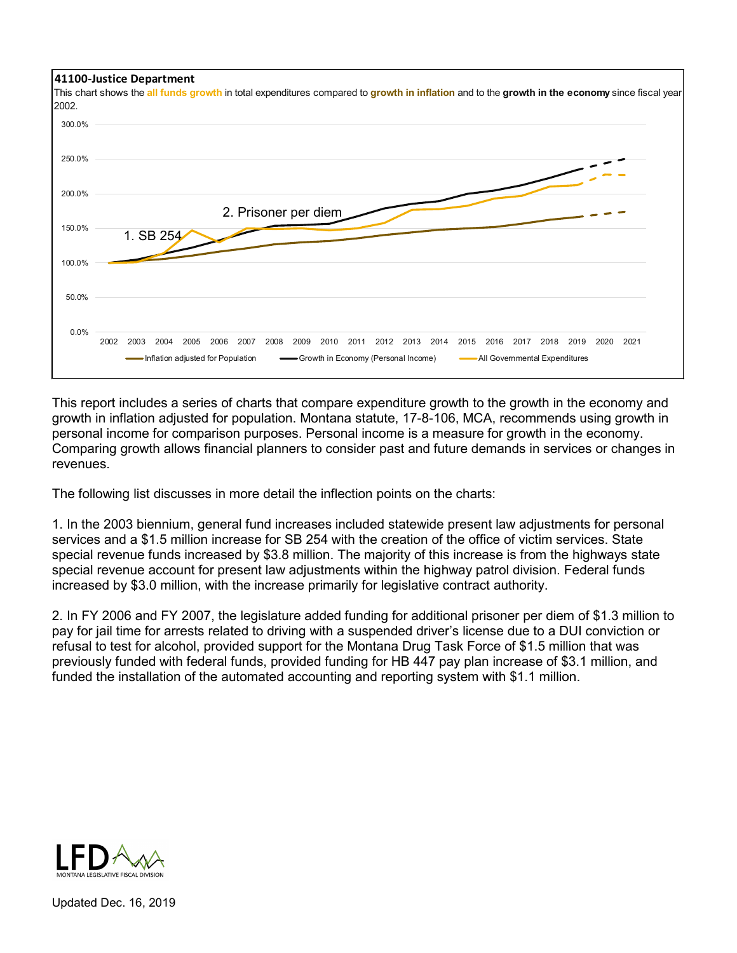

This report includes a series of charts that compare expenditure growth to the growth in the economy and growth in inflation adjusted for population. Montana statute, 17-8-106, MCA, recommends using growth in personal income for comparison purposes. Personal income is a measure for growth in the economy. Comparing growth allows financial planners to consider past and future demands in services or changes in revenues.

The following list discusses in more detail the inflection points on the charts:

1. In the 2003 biennium, general fund increases included statewide present law adjustments for personal services and a \$1.5 million increase for SB 254 with the creation of the office of victim services. State special revenue funds increased by \$3.8 million. The majority of this increase is from the highways state special revenue account for present law adjustments within the highway patrol division. Federal funds increased by \$3.0 million, with the increase primarily for legislative contract authority.

2. In FY 2006 and FY 2007, the legislature added funding for additional prisoner per diem of \$1.3 million to pay for jail time for arrests related to driving with a suspended driver's license due to a DUI conviction or refusal to test for alcohol, provided support for the Montana Drug Task Force of \$1.5 million that was previously funded with federal funds, provided funding for HB 447 pay plan increase of \$3.1 million, and funded the installation of the automated accounting and reporting system with \$1.1 million.



Updated Dec. 16, 2019